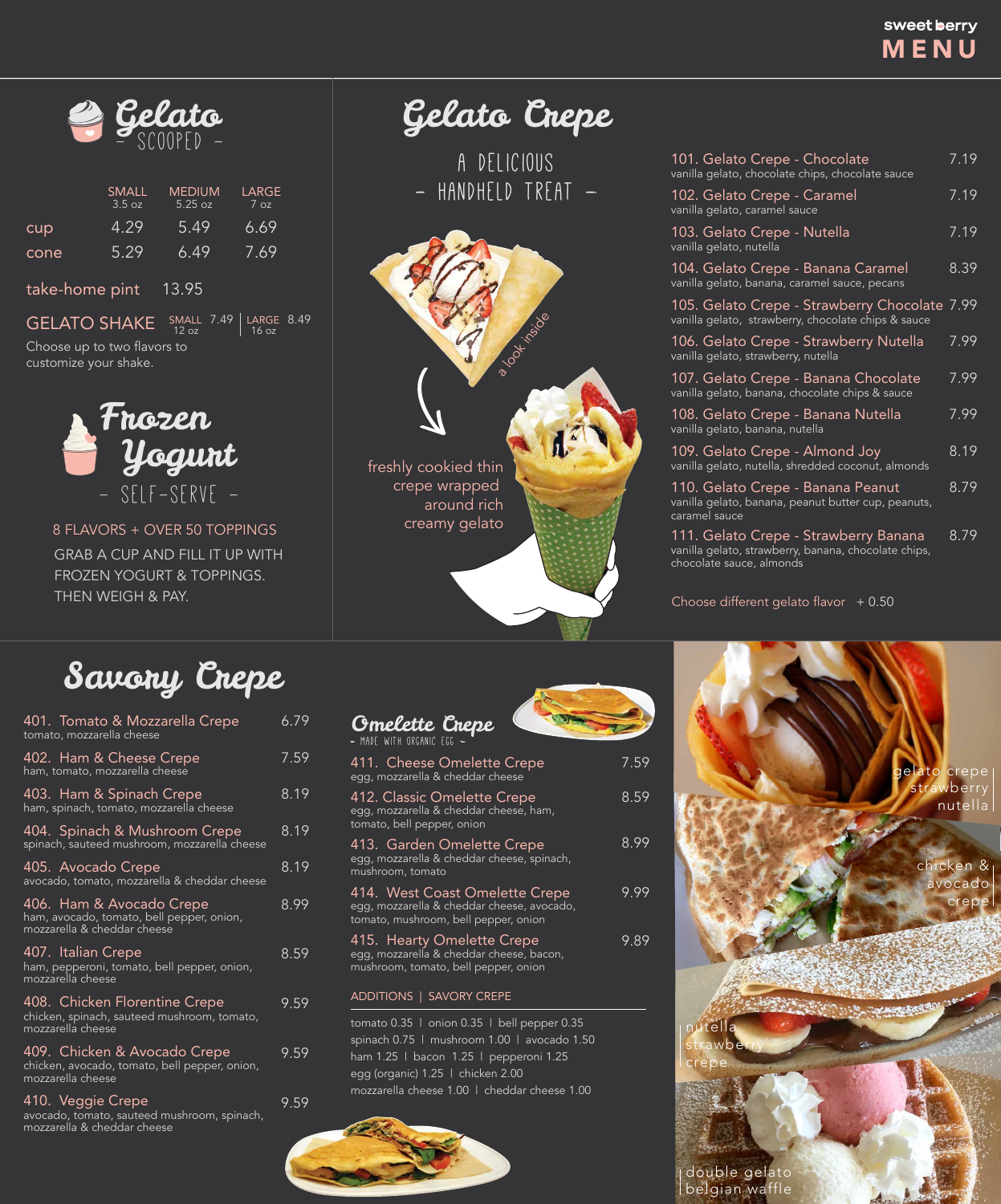# sweet berry MENU

Gelato Crepe

A DELICIOUS - HANDHELD TREAT -

| 101. Gelato Crepe - Chocolate<br>vanilla gelato, chocolate chips, chocolate sauce                    | 7.19 |
|------------------------------------------------------------------------------------------------------|------|
| 102. Gelato Crepe - Caramel<br>vanilla gelato, caramel sauce                                         | 7.19 |
| 103. Gelato Crepe - Nutella<br>vanilla gelato, nutella                                               | 7.19 |
| 104. Gelato Crepe - Banana Caramel<br>vanilla gelato, banana, caramel sauce, pecans                  | 8.39 |
| 105. Gelato Crepe - Strawberry Chocolate 7.99<br>vanilla gelato, strawberry, chocolate chips & sauce |      |
| 106. Gelato Crepe - Strawberry Nutella<br>vanilla gelato, strawberry, nutella                        | 7.99 |
| 107. Gelato Crepe - Banana Chocolate<br>vanilla gelato, banana, chocolate chips & sauce              | 7.99 |
| 108. Gelato Crepe - Banana Nutella<br>vanilla gelato, banana, nutella                                | 7.99 |
| 109. Gelato Crepe - Almond Joy<br>vanilla gelato, nutella, shredded coconut, almonds                 | 8.19 |

110. Gelato Crepe - Banana Peanut vanilla gelato, banana, peanut butter cup, peanuts, caramel sauce

111. Gelato Crepe - Strawberry Banana vanilla gelato, strawberry, banana, chocolate chips, chocolate sauce, almonds 8.79

Choose different gelato flavor  $+0.50$ 

8.79

8 FLAVORS + OVER 50 TOPPINGS GRAB A CUP AND FILL IT UP WITH FROZEN YOGURT & TOPPINGS. THEN WEIGH & PAY.







|                | <b>SMALL</b><br>3.5 oz | <b>MEDIUM</b><br>5.25 oz | LARGE<br>7 oz |
|----------------|------------------------|--------------------------|---------------|
| cup            | 4.29                   | 5.49                     | 6.69          |
| cone           | 5.29                   | 6.49                     | 7.69          |
| take-home pint |                        | 13.95                    |               |

Choose up to two flavors to customize your shake. GELATO SHAKE SMALL 7.49 LARGE 8.49 16 oz

> crepe wrapped around rich creamy gelato

Savory Crepe

| 401. Tomato & Mozzarella Crepe<br>tomato, mozzarella cheese                                          | 6.79 |
|------------------------------------------------------------------------------------------------------|------|
| 402. Ham & Cheese Crepe<br>ham, tomato, mozzarella cheese                                            | 7.59 |
| 403. Ham & Spinach Crepe<br>ham, spinach, tomato, mozzarella cheese                                  | 8.19 |
| 404. Spinach & Mushroom Crepe<br>spinach, sauteed mushroom, mozzarella cheese                        | 8.19 |
| 405. Avocado Crepe<br>avocado, tomato, mozzarella & cheddar cheese                                   | 8.19 |
| 406. Ham & Avocado Crepe<br>ham, avocado, tomato, bell pepper, onion,<br>mozzarella & cheddar cheese | 8.99 |

407. Italian Crepe ham, pepperoni, tomato, bell pepper, onion, mozzarella cheese

409. Chicken & Avocado Crepe chicken, avocado, tomato, bell pepper, onion, mozzarella cheese

408. Chicken Florentine Crepe chicken, spinach, sauteed mushroom, tomato, mozzarella cheese 9.59

410. Veggie Crepe avocado, tomato, sauteed mushroom, spinach, mozzarella & cheddar cheese 9.59

8.59

9.59

9.89

| <b>Gmelette Crepe</b>                                                                                                |      |
|----------------------------------------------------------------------------------------------------------------------|------|
| 411.  Cheese Omelette Crepe<br>egg, mozzarella & cheddar cheese                                                      | 7.59 |
| 412. Classic Omelette Crepe<br>egg, mozzarella & cheddar cheese, ham,<br>tomato, bell pepper, onion                  | 8.59 |
| 413. Garden Omelette Crepe<br>egg, mozzarella & cheddar cheese, spinach,<br>mushroom, tomato                         | 8.99 |
| 414. West Coast Omelette Crepe<br>egg, mozzarella & cheddar cheese, avocado,<br>tomato, mushroom, bell pepper, onion | 9.99 |
|                                                                                                                      |      |

mozzarella cheese 1.00 | cheddar cheese 1.00 tomato 0.35 | onion 0.35 | bell pepper 0.35 spinach 0.75 | mushroom 1.00 | avocado 1.50 ham 1.25 | bacon 1.25 | pepperoni 1.25 egg (organic) 1.25 | chicken 2.00



415. Hearty Omelette Crepe

egg, mozzarella & cheddar cheese, bacon, mushroom, tomato, bell pepper, onion

#### ADDITIONS | SAVORY CREPE